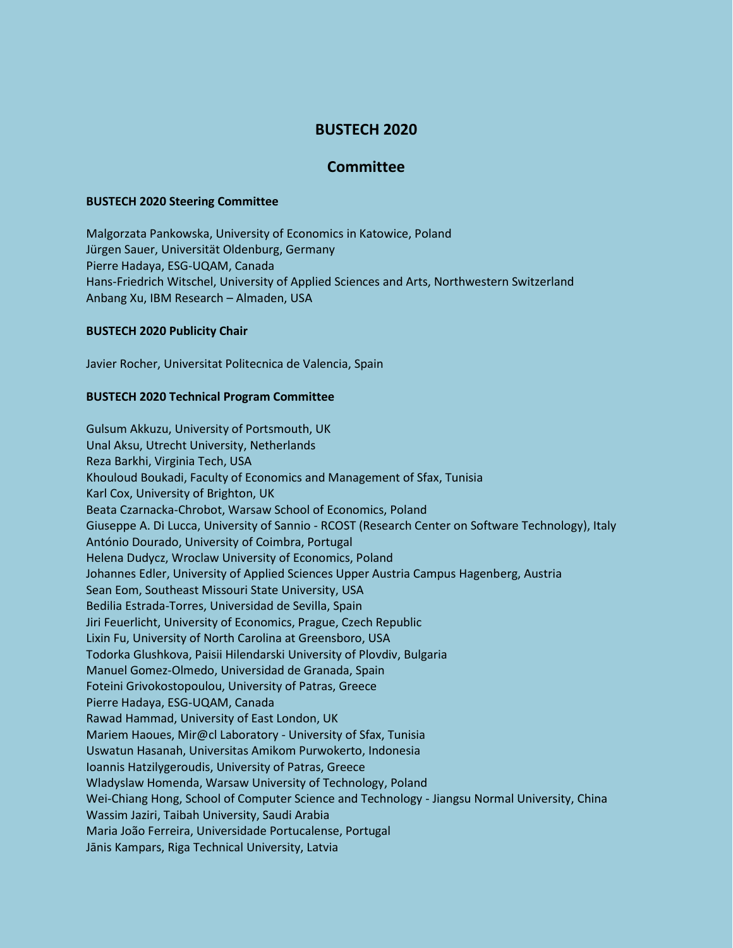# **BUSTECH 2020**

## **Committee**

#### **BUSTECH 2020 Steering Committee**

Malgorzata Pankowska, University of Economics in Katowice, Poland Jürgen Sauer, Universität Oldenburg, Germany Pierre Hadaya, ESG-UQAM, Canada Hans-Friedrich Witschel, University of Applied Sciences and Arts, Northwestern Switzerland Anbang Xu, IBM Research – Almaden, USA

### **BUSTECH 2020 Publicity Chair**

Javier Rocher, Universitat Politecnica de Valencia, Spain

#### **BUSTECH 2020 Technical Program Committee**

Gulsum Akkuzu, University of Portsmouth, UK Unal Aksu, Utrecht University, Netherlands Reza Barkhi, Virginia Tech, USA Khouloud Boukadi, Faculty of Economics and Management of Sfax, Tunisia Karl Cox, University of Brighton, UK Beata Czarnacka-Chrobot, Warsaw School of Economics, Poland Giuseppe A. Di Lucca, University of Sannio - RCOST (Research Center on Software Technology), Italy António Dourado, University of Coimbra, Portugal Helena Dudycz, Wroclaw University of Economics, Poland Johannes Edler, University of Applied Sciences Upper Austria Campus Hagenberg, Austria Sean Eom, Southeast Missouri State University, USA Bedilia Estrada-Torres, Universidad de Sevilla, Spain Jiri Feuerlicht, University of Economics, Prague, Czech Republic Lixin Fu, University of North Carolina at Greensboro, USA Todorka Glushkova, Paisii Hilendarski University of Plovdiv, Bulgaria Manuel Gomez-Olmedo, Universidad de Granada, Spain Foteini Grivokostopoulou, University of Patras, Greece Pierre Hadaya, ESG-UQAM, Canada Rawad Hammad, University of East London, UK Mariem Haoues, Mir@cl Laboratory - University of Sfax, Tunisia Uswatun Hasanah, Universitas Amikom Purwokerto, Indonesia Ioannis Hatzilygeroudis, University of Patras, Greece Wladyslaw Homenda, Warsaw University of Technology, Poland Wei-Chiang Hong, School of Computer Science and Technology - Jiangsu Normal University, China Wassim Jaziri, Taibah University, Saudi Arabia Maria João Ferreira, Universidade Portucalense, Portugal Jānis Kampars, Riga Technical University, Latvia